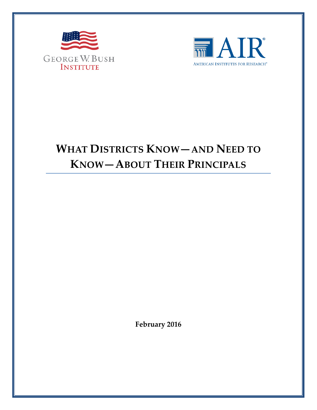



# **WHAT DISTRICTS KNOW—AND NEED TO KNOW—ABOUT THEIR PRINCIPALS**

**February 2016**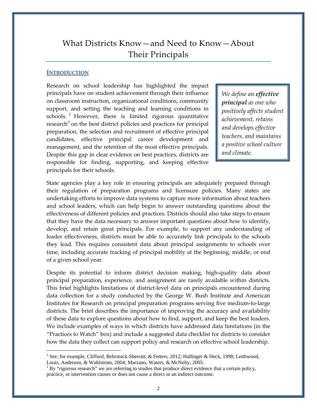# What Districts Know—and Need to Know—About Their Principals

#### **INTRODUCTION**

 $\overline{a}$ 

Research on school leadership has highlighted the impact principals have on student achievement through their influence on classroom instruction, organizational conditions, community support, and setting the teaching and learning conditions in schools.<sup>[1](#page-1-0)</sup> However, there is limited rigorous quantitative research<sup>[2](#page-1-1)</sup> on the best district policies and practices for principal preparation, the selection and recruitment of effective principal candidates, effective principal career development and management, and the retention of the most effective principals. Despite this gap in clear evidence on best practices, districts are responsible for finding, supporting, and keeping effective principals for their schools.

*We define an effective principal as one who positively affects student achievement, retains and develops effective teachers, and maintains a positive school culture and climate.* 

State agencies play a key role in ensuring principals are adequately prepared through their regulation of preparation programs and licensure policies. Many states are undertaking efforts to improve data systems to capture more information about teachers and school leaders, which can help begin to answer outstanding questions about the effectiveness of different policies and practices. Districts should also take steps to ensure that they have the data necessary to answer important questions about how to identify, develop, and retain great principals. For example, to support any understanding of leader effectiveness, districts must be able to accurately link principals to the schools they lead. This requires consistent data about principal assignments to schools over time, including accurate tracking of principal mobility at the beginning, middle, or end of a given school year.

Despite its potential to inform district decision making, high-quality data about principal preparation, experience, and assignment are rarely available within districts. This brief highlights limitations of district-level data on principals encountered during data collection for a study conducted by the George W. Bush Institute and American Institutes for Research on principal preparation programs serving five medium-to-large districts. The brief describes the importance of improving the accuracy and availability of these data to explore questions about how to find, support, and keep the best leaders. We include examples of ways in which districts have addressed data limitations (in the "Practices to Watch" box) and include a suggested data checklist for districts to consider how the data they collect can support policy and research on effective school leadership.

<span id="page-1-0"></span><sup>&</sup>lt;sup>1</sup> See, for example, Clifford, Behrstock-Sherratt, & Fetters, 2012; Hallinger & Heck, 1998; Leithwood, Louis, Anderson, & Wahlstrom, 2004; Marzano, Waters, & McNulty, 2005.

<span id="page-1-1"></span> $2$  By "rigorous research" we are referring to studies that produce direct evidence that a certain policy, practice, or intervention causes or does not cause a direct or an indirect outcome.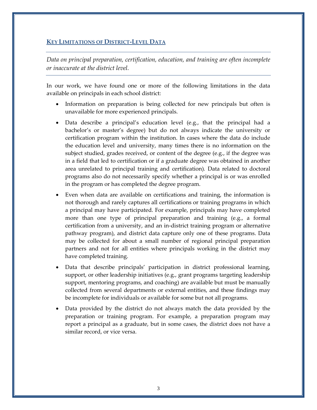### **KEY LIMITATIONS OF DISTRICT-LEVEL DATA**

*Data on principal preparation, certification, education, and training are often incomplete or inaccurate at the district level.*

In our work, we have found one or more of the following limitations in the data available on principals in each school district:

- Information on preparation is being collected for new principals but often is unavailable for more experienced principals.
- Data describe a principal's education level (e.g., that the principal had a bachelor's or master's degree) but do not always indicate the university or certification program within the institution. In cases where the data do include the education level and university, many times there is no information on the subject studied, grades received, or content of the degree (e.g., if the degree was in a field that led to certification or if a graduate degree was obtained in another area unrelated to principal training and certification)*.* Data related to doctoral programs also do not necessarily specify whether a principal is or was enrolled in the program or has completed the degree program.
- Even when data are available on certifications and training, the information is not thorough and rarely captures all certifications or training programs in which a principal may have participated. For example, principals may have completed more than one type of principal preparation and training (e.g., a formal certification from a university, and an in-district training program or alternative pathway program), and district data capture only one of these programs. Data may be collected for about a small number of regional principal preparation partners and not for all entities where principals working in the district may have completed training.
- Data that describe principals' participation in district professional learning, support, or other leadership initiatives (e.g., grant programs targeting leadership support, mentoring programs, and coaching) are available but must be manually collected from several departments or external entities, and these findings may be incomplete for individuals or available for some but not all programs.
- Data provided by the district do not always match the data provided by the preparation or training program. For example, a preparation program may report a principal as a graduate, but in some cases, the district does not have a similar record, or vice versa.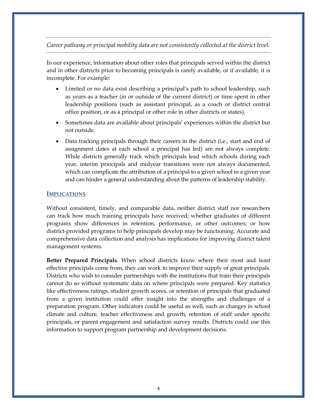#### *Career pathway or principal mobility data are not consistently collected at the district level.*

In our experience, information about other roles that principals served within the district and in other districts prior to becoming principals is rarely available, or if available, it is incomplete. For example:

- Limited or no data exist describing a principal's path to school leadership, such as years as a teacher (in or outside of the current district) or time spent in other leadership positions (such as assistant principal, as a coach or district central office position, or as a principal or other role in other districts or states).
- Sometimes data are available about principals' experiences within the district but not outside.
- Data tracking principals through their careers in the district (i.e., start and end of assignment dates at each school a principal has led) are not always complete. While districts generally track which principals lead which schools during each year, interim principals and midyear transitions were not always documented, which can complicate the attribution of a principal to a given school in a given year and can hinder a general understanding about the patterns of leadership stability.

#### **IMPLICATIONS**

Without consistent, timely, and comparable data, neither district staff nor researchers can track how much training principals have received; whether graduates of different programs show differences in retention, performance, or other outcomes; or how district-provided programs to help principals develop may be functioning. Accurate and comprehensive data collection and analysis has implications for improving district talent management systems.

**Better Prepared Principals.** When school districts know where their most and least effective principals come from, they can work to improve their supply of great principals. Districts who wish to consider partnerships with the institutions that train their principals cannot do so without systematic data on where principals were prepared. Key statistics like effectiveness ratings, student growth scores, or retention of principals that graduated from a given institution could offer insight into the strengths and challenges of a preparation program. Other indicators could be useful as well, such as changes in school climate and culture, teacher effectiveness and growth, retention of staff under specific principals, or parent engagement and satisfaction survey results. Districts could use this information to support program partnership and development decisions.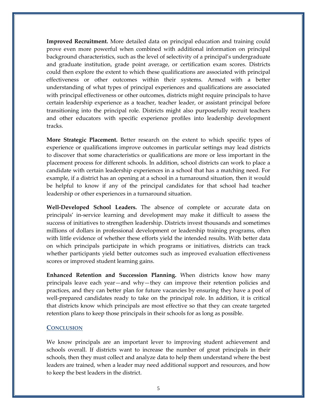**Improved Recruitment.** More detailed data on principal education and training could prove even more powerful when combined with additional information on principal background characteristics, such as the level of selectivity of a principal's undergraduate and graduate institution, grade point average, or certification exam scores. Districts could then explore the extent to which these qualifications are associated with principal effectiveness or other outcomes within their systems. Armed with a better understanding of what types of principal experiences and qualifications are associated with principal effectiveness or other outcomes, districts might require principals to have certain leadership experience as a teacher, teacher leader, or assistant principal before transitioning into the principal role. Districts might also purposefully recruit teachers and other educators with specific experience profiles into leadership development tracks.

**More Strategic Placement.** Better research on the extent to which specific types of experience or qualifications improve outcomes in particular settings may lead districts to discover that some characteristics or qualifications are more or less important in the placement process for different schools. In addition, school districts can work to place a candidate with certain leadership experiences in a school that has a matching need. For example, if a district has an opening at a school in a turnaround situation, then it would be helpful to know if any of the principal candidates for that school had teacher leadership or other experiences in a turnaround situation.

**Well-Developed School Leaders.** The absence of complete or accurate data on principals' in-service learning and development may make it difficult to assess the success of initiatives to strengthen leadership. Districts invest thousands and sometimes millions of dollars in professional development or leadership training programs, often with little evidence of whether these efforts yield the intended results. With better data on which principals participate in which programs or initiatives, districts can track whether participants yield better outcomes such as improved evaluation effectiveness scores or improved student learning gains.

**Enhanced Retention and Succession Planning.** When districts know how many principals leave each year—and why—they can improve their retention policies and practices, and they can better plan for future vacancies by ensuring they have a pool of well-prepared candidates ready to take on the principal role. In addition, it is critical that districts know which principals are most effective so that they can create targeted retention plans to keep those principals in their schools for as long as possible.

#### **CONCLUSION**

We know principals are an important lever to improving student achievement and schools overall. If districts want to increase the number of great principals in their schools, then they must collect and analyze data to help them understand where the best leaders are trained, when a leader may need additional support and resources, and how to keep the best leaders in the district.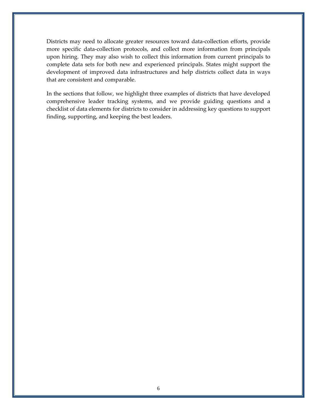Districts may need to allocate greater resources toward data-collection efforts, provide more specific data-collection protocols, and collect more information from principals upon hiring. They may also wish to collect this information from current principals to complete data sets for both new and experienced principals. States might support the development of improved data infrastructures and help districts collect data in ways that are consistent and comparable.

In the sections that follow, we highlight three examples of districts that have developed comprehensive leader tracking systems, and we provide guiding questions and a checklist of data elements for districts to consider in addressing key questions to support finding, supporting, and keeping the best leaders.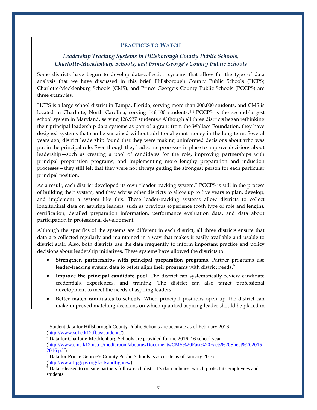#### **PRACTICES TO WATCH**

#### *Leadership Tracking Systems in Hillsborough County Public Schools, Charlotte-Mecklenburg Schools, and Prince George's County Public Schools*

Some districts have begun to develop data-collection systems that allow for the type of data analysis that we have discussed in this brief. Hillsborough County Public Schools (HCPS) Charlotte-Mecklenburg Schools (CMS), and Prince George's County Public Schools (PGCPS) are three examples.

HCPS is a large school district in Tampa, Florida, serving more than 200,000 students, and CMS is located in Charlotte, North Carolina, serving 146,100 students.<sup>[3](#page-6-0),[4](#page-6-1)</sup> PGCPS is the second-largest school system in Maryland, serving 128,937 students.<sup>[5](#page-6-2)</sup> Although all three districts began rethinking their principal leadership data systems as part of a grant from the Wallace Foundation, they have designed systems that can be sustained without additional grant money in the long term. Several years ago, district leadership found that they were making uninformed decisions about who was put in the principal role. Even though they had some processes in place to improve decisions about leadership—such as creating a pool of candidates for the role, improving partnerships with principal preparation programs, and implementing more lengthy preparation and induction processes—they still felt that they were not always getting the strongest person for each particular principal position.

As a result, each district developed its own "leader tracking system." PGCPS is still in the process of building their system, and they advise other districts to allow up to five years to plan, develop, and implement a system like this. These leader-tracking systems allow districts to collect longitudinal data on aspiring leaders, such as previous experience (both type of role and length), certification, detailed preparation information, performance evaluation data, and data about participation in professional development.

Although the specifics of the systems are different in each district, all three districts ensure that data are collected regularly and maintained in a way that makes it easily available and usable to district staff. Also, both districts use the data frequently to inform important practice and policy decisions about leadership initiatives. These systems have allowed the districts to:

- **Strengthen partnerships with principal preparation programs**. Partner programs use leader-tracking system data to better align their programs with district needs.<sup>[6](#page-6-3)</sup>
- **Improve the principal candidate pool**. The district can systematically review candidate credentials, experiences, and training. The district can also target professional development to meet the needs of aspiring leaders.
- **Better match candidates to schools**. When principal positions open up, the district can make improved matching decisions on which qualified aspiring leader should be placed in

 $\overline{a}$ 

<span id="page-6-0"></span><sup>&</sup>lt;sup>3</sup> Student data for Hillsborough County Public Schools are accurate as of February 2016

<span id="page-6-1"></span>[<sup>\(</sup>http://www.sdhc.k12.fl.us/students/\)](http://www.sdhc.k12.fl.us/students/).<br><sup>4</sup> Data for Charlotte-Mecklenburg Schools are provided for the 2016–16 school year [\(http://www.cms.k12.nc.us/mediaroom/aboutus/Documents/CMS%20Fast%20Facts%20Sheet%202015-](http://www.cms.k12.nc.us/mediaroom/aboutus/Documents/CMS%20Fast%20Facts%20Sheet%202015-2016.pdf)<br>2016.pdf).

<span id="page-6-2"></span> $\frac{1}{2}$ Data for Prince George's County Public Schools is accurate as of January 2016.<br>(http://www1.pgcps.org/factsandfigures/).

<span id="page-6-3"></span> $\overline{6}$  Data released to outside partners follow each district's data policies, which protect its employees and students.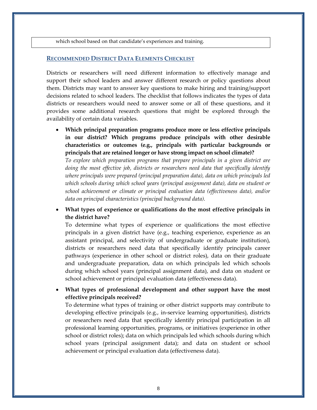which school based on that candidate's experiences and training.

#### **RECOMMENDED DISTRICT DATA ELEMENTS CHECKLIST**

Districts or researchers will need different information to effectively manage and support their school leaders and answer different research or policy questions about them. Districts may want to answer key questions to make hiring and training/support decisions related to school leaders. The checklist that follows indicates the types of data districts or researchers would need to answer some or all of these questions, and it provides some additional research questions that might be explored through the availability of certain data variables.

• **Which principal preparation programs produce more or less effective principals in our district? Which programs produce principals with other desirable characteristics or outcomes (e.g., principals with particular backgrounds or principals that are retained longer or have strong impact on school climate)?**

*To explore which preparation programs that prepare principals in a given district are*  doing the most effective job, districts or researchers need data that specifically identify *where principals were prepared (principal preparation data), data on which principals led which schools during which school years (principal assignment data), data on student or school achievement or climate or principal evaluation data (effectiveness data), and/or data on principal characteristics (principal background data).*

• **What types of experience or qualifications do the most effective principals in the district have?**

To determine what types of experience or qualifications the most effective principals in a given district have (e.g., teaching experience, experience as an assistant principal, and selectivity of undergraduate or graduate institution), districts or researchers need data that specifically identify principals career pathways (experience in other school or district roles), data on their graduate and undergraduate preparation, data on which principals led which schools during which school years (principal assignment data), and data on student or school achievement or principal evaluation data (effectiveness data).

• **What types of professional development and other support have the most effective principals received?**

To determine what types of training or other district supports may contribute to developing effective principals (e.g., in-service learning opportunities), districts or researchers need data that specifically identify principal participation in all professional learning opportunities, programs, or initiatives (experience in other school or district roles); data on which principals led which schools during which school years (principal assignment data); and data on student or school achievement or principal evaluation data (effectiveness data).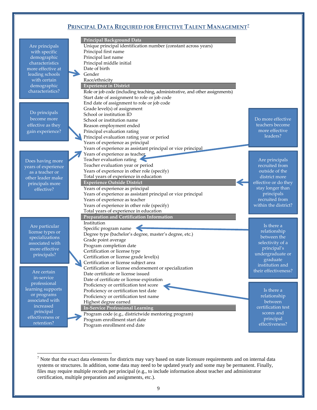# **PRINCIPAL DATA REQUIRED FOR EFFECTIVE TALENT MANAGEMENT[7](#page-8-0)**

|                                | Principal Background Data                                                    |                      |
|--------------------------------|------------------------------------------------------------------------------|----------------------|
|                                | Unique principal identification number (constant across years)               |                      |
| Are principals                 | Principal first name                                                         |                      |
| with specific                  | Principal last name                                                          |                      |
| demographic<br>characteristics | Principal middle initial                                                     |                      |
| more effective at              |                                                                              |                      |
|                                | Date of birth                                                                |                      |
| leading schools                | Gender                                                                       |                      |
| with certain                   | Race/ethnicity                                                               |                      |
| demographic                    | <b>Experience in District</b>                                                |                      |
| characteristics?               | Role or job code (including teaching, administrative, and other assignments) |                      |
|                                | Start date of assignment to role or job code                                 |                      |
|                                | End date of assignment to role or job code                                   |                      |
| Do principals                  | Grade level(s) of assignment                                                 |                      |
| become more                    | School or institution ID                                                     |                      |
|                                | School or institution name                                                   | Do more effective    |
| effective as they              | Reason employment ended                                                      | teachers become      |
| gain experience?               | Principal evaluation rating                                                  | more effective       |
|                                | Principal evaluation rating year or period                                   | leaders?             |
|                                | Years of experience as principal                                             |                      |
|                                | Years of experience as assistant principal or vice principal                 |                      |
|                                | Years of experience as teacher                                               |                      |
| Does having more               | Teacher evaluation rating                                                    | Are principals       |
| years of experience            | Teacher evaluation year or period                                            | recruited from       |
| as a teacher or                | Years of experience in other role (specify)                                  | outside of the       |
| other leader make              | Total years of experience in education                                       | district more        |
| principals more                | <b>Experience Outside District</b>                                           | effective or do they |
| effective?                     | Years of experience as principal                                             | stay longer than     |
|                                | Years of experience as assistant principal or vice principal                 | principals           |
|                                | Years of experience as teacher                                               | recruited from       |
|                                | Years of experience in other role (specify)                                  | within the district? |
|                                | Total years of experience in education                                       |                      |
|                                | Preparation and Certification Information                                    |                      |
| Are particular                 | Institution                                                                  | Is there a           |
| license types or               | Specific program name                                                        | relationship         |
| specializations                | Degree type (bachelor's degree, master's degree, etc.)                       | between the          |
| associated with                | Grade point average                                                          | selectivity of a     |
| more effective                 | Program completion date                                                      | principal's          |
| principals?                    | Certification or license type                                                | undergraduate or     |
|                                | Certification or license grade level(s)                                      | graduate             |
|                                | Certification or license subject area                                        | institution and      |
| Are certain                    | Certification or license endorsement or specialization                       | their effectiveness? |
| in-service                     | Date certificate or license issued                                           |                      |
| professional                   | Date of certificate or license expiration                                    |                      |
| learning supports              | Proficiency or certification test score                                      |                      |
| or programs                    | Proficiency or certification test date                                       | Is there a           |
| associated with                | Proficiency or certification test name                                       | relationship         |
| increased                      | Highest degree earned                                                        | between              |
| principal                      | <b>In-Service Professional Learning</b>                                      | certification test   |
| effectiveness or               | Program code (e.g., districtwide mentoring program)                          | scores and           |
| retention?                     | Program enrollment start date                                                | principal            |
|                                | Program enrollment end date                                                  | effectiveness?       |

 $\overline{a}$ 

<span id="page-8-0"></span> $<sup>7</sup>$  Note that the exact data elements for districts may vary based on state licensure requirements and on internal data</sup> systems or structures. In addition, some data may need to be updated yearly and some may be permanent. Finally, files may require multiple records per principal (e.g., to include information about teacher and administrator certification, multiple preparation and assignments, etc.).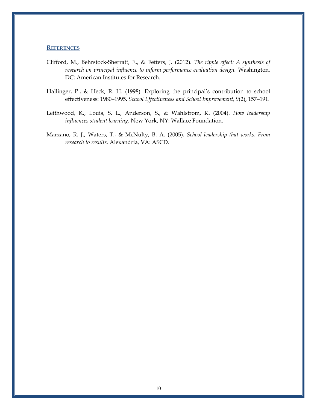#### **REFERENCES**

- Clifford, M., Behrstock-Sherratt, E., & Fetters, J. (2012). *The ripple effect: A synthesis of research on principal influence to inform performance evaluation design.* Washington, DC: American Institutes for Research.
- Hallinger, P., & Heck, R. H. (1998). Exploring the principal's contribution to school effectiveness: 1980–1995. *School Effectiveness and School Improvement*, *9*(2), 157–191.
- Leithwood, K., Louis, S. L., Anderson, S., & Wahlstrom, K. (2004). *How leadership influences student learning*. New York, NY: Wallace Foundation.
- Marzano, R. J., Waters, T., & McNulty, B. A. (2005). *School leadership that works: From research to results.* Alexandria, VA: ASCD.